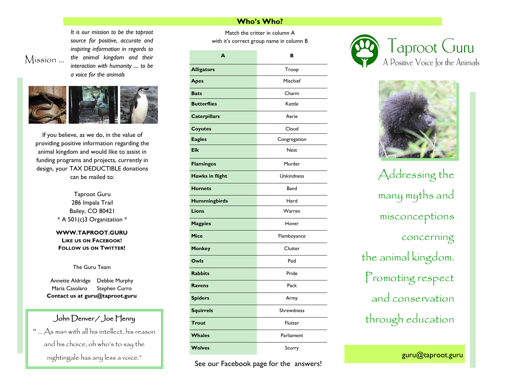*It is our mission to be the taproot source for positive, accurate and inspiring information in regards to the animal kingdom and their interaction with humanity .... to be a voice for the animals*



Mission ...

If you believe, as we do, in the value of providing positive information regarding the animal kingdom and would like to assist in funding programs and projects, currently in design, your TAX DEDUCTIBLE donations can be mailed to:

> Taproot Guru 286 Impala Trail Bailey, CO 80421 \* A 501(c)3 Organization \*

> **WWW.TAPROOT.GURU LIKE US ON FACEBOOK! FOLLOW US ON TWITTER!**

> > The Guru Team

Annette Aldridge Debbie Murphy Maria Casolaro Stephen Curro **Contact us at guru@taproot.guru**

### John Denver / Joe Henry

" … As man with all his intellect, his reason and his choice, oh who's to say the nightingale has any less a voice."

## Match the critter in column A with it's correct group name in column B **A B Alligators** Troop **Apes** Mischief **Bats** Charm **Butterflies** Kettle **Caterpillars** Aerie **Coyotes** Cloud **Eagles** Congregation **Elk** Nest **Flamingos** Murder **Hawks in flight Unkindness Hornets** Band **Hummingbirds** Herd **Lions** Warren **Magpies** Hover **Mice** Flamboyance **Monkey** Clutter **Owls** Pod **Rabbits** Pride **Ravens** Pack **Spiders** Army **Squirrels** Shrewdness **Trout** Flutter **Whales Parliament Wolves** Scurry

**Who's Who?** 

See our Facebook page for the answers!





Addressing the many myths and misconceptions concerning the animal kingdom. Promoting respect and conservation through education

guru@taproot.guru